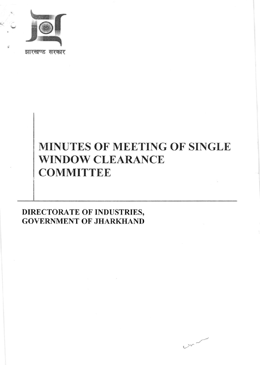

झारखण्ड सरकार

# MINUTES OF MEETING OF SINGLE **WINDOW CLEARANCE COMMITTEE**

DIRECTORATE OF INDUSTRIES, **GOVERNMENT OF JHARKHAND** 

 $v^{2}$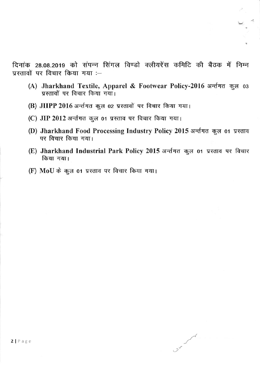दिनांक 28.08.2019 को संपन्न सिंगल विण्डो क्लीयरेंस कमिटि की बैठक में निम्न  $\overline{u}$ स्तावों पर विचार किया गया :-

- (A) Jharkhand Textile, Apparel & Footwear Policy-2016 अर्न्तगत कुल 03 ,<br>प्रस्तावों पर विचार किया गया।
- (B)  $\bm{\mathrm{JHPP}}$  2016 अर्न्तगत कुल 02 प्रस्तावों पर विचार किया गया।
- (C) JIP 2012 अर्न्तगत कुल 01 प्रस्ताव पर विचार किया गया।
- (D) Jharkhand Food Processing Industry Policy 2015 अर्न्तगत कुल 01 प्रस्ताव पर विचार किया गया।
- (E) Jharkhand Industrial Park Policy 2015 अर्न्तगत कुल 01 प्रस्ताव पर विचार किया गया।

 $\circ$ 

 $\sim$ 

(F) MoU के कुल 01 प्रस्ताव पर विचार किया गया।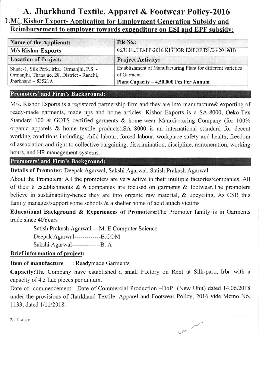# A. Jharkhand Textile, Apparel & Footwear Policy-2016 1.M ' Kishor Exnort- Annlication for Emnlovment Generation Subsidv and Reimbursement to employer towards expenditure on ESI and EPF subsidy:

| <b>Name of the Applicant:</b>                                                                                   | <b>File No.:</b><br>06/U.Ni./JTAFP-2016 KISHOR EXPORTS /06-2019(II)                                                    |  |  |
|-----------------------------------------------------------------------------------------------------------------|------------------------------------------------------------------------------------------------------------------------|--|--|
| <b>M/s Kishor Exports</b>                                                                                       |                                                                                                                        |  |  |
| <b>Location of Project:</b>                                                                                     | <b>Project Activity:</b>                                                                                               |  |  |
| Shade-1, Silk Park, Irba, Ormanjhi, P.S. -<br>Ormanjhi, Thana no. 28, District - Ranchi,<br>Jharkhand - 835219. | Establishment of Manufacturing Plant for different varieties<br>of Garment.<br>Plant Capacity - 4,50,000 Pcs Per Annum |  |  |

#### Promoters' and Firm's Background:

M/s. Kishor Exports is a registered partnership firm and they are into manufacture & exporting of ready-made garments, made ups and home articles. Kishor Exports is a SA-8000, Oeko-Tex Standard 100 & GOTS certified garments & home-wear Manufacturing Company (for 100% organic apparels & home textile products).SA 8000 is an intemational standard for decent working conditions including: child labour, forced labour, workplace safety and health, freedom of association and right to collective bargaining, discrimination, discipline, remuneration, working hours, and HR management systems.

## Promoters' and Firm's Background:

Details of Promoter: Deepak Agarwal, Sakshi Agarwal, Satish Prakash Agarwal

About the Promoters: All the promoters are very active in their multiple factories/companies. All of their 8 establishments & 6 companies are focused on garments & footwear.The promoters believe in sustainability-hence they are into organic raw material, & upcycling. As CSR this family manages/support some schools  $\&$  a shelter home of acid attach victims

Educational Background & Experiences of Promoters:The Promoter family is in Garments trade since 40Years

Satish Prakash Agarwal --M. E Computer Science Deepak Agarwal-------------B.COM Sakshi Agarwal------------------B. A

### Brief information of project:

### Item of manufacture : Readymade Garments

Capacity:The Company have established a small Factory on Rent at Silk-park, Irba with a capacity of 4.5 Lac pieces per annum.

Date of commencement: Date of Commercial Production -DoP (New Unit) dated 14.06.2018 under the provisions of Jharkhand Textile, Apparel and Footwear Policy, 2016 vide Memo No. 1133, dated 1/11/2018.

 $20 - 12$ 

3lPage